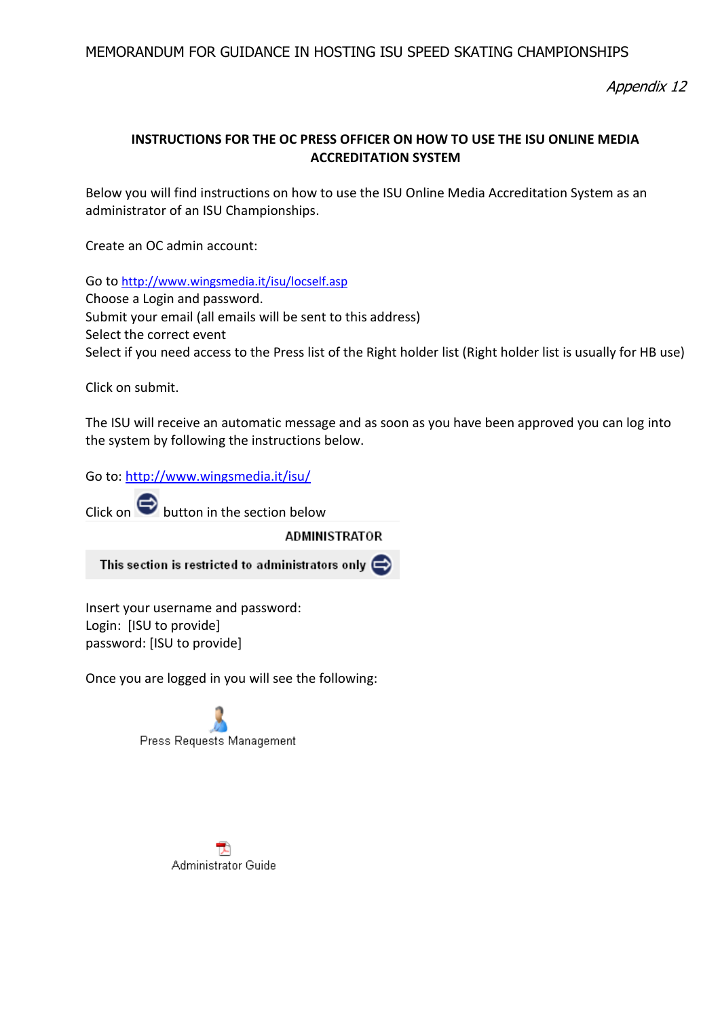Appendix 12

# **INSTRUCTIONS FOR THE OC PRESS OFFICER ON HOW TO USE THE ISU ONLINE MEDIA ACCREDITATION SYSTEM**

Below you will find instructions on how to use the ISU Online Media Accreditation System as an administrator of an ISU Championships.

Create an OC admin account:

Go to <http://www.wingsmedia.it/isu/locself.asp> Choose a Login and password. Submit your email (all emails will be sent to this address) Select the correct event Select if you need access to the Press list of the Right holder list (Right holder list is usually for HB use)

Click on submit.

The ISU will receive an automatic message and as soon as you have been approved you can log into the system by following the instructions below.

Go to[: http://www.wingsmedia.it/isu/](http://www.wingsmedia.it/isu/)

Click on  $\bigodot$  button in the section below

**ADMINISTRATOR** 

This section is restricted to administrators only  $\blacktriangleright$ 

Insert your username and password: Login: [ISU to provide] password: [ISU to provide]

Once you are logged in you will see the following:



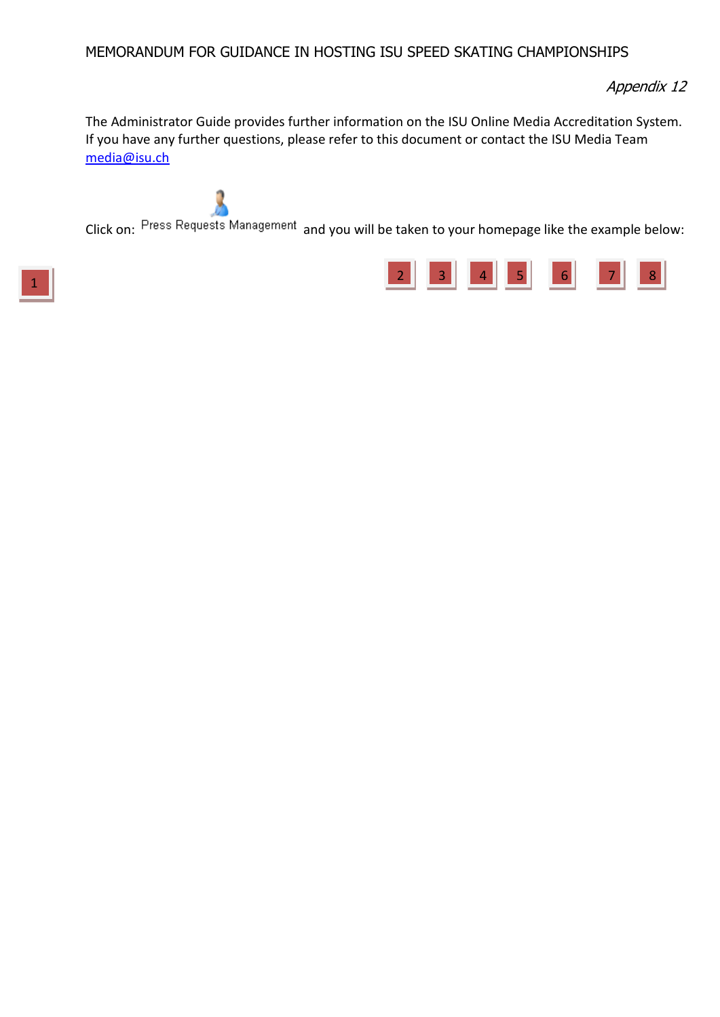Appendix 12

The Administrator Guide provides further information on the ISU Online Media Accreditation System. If you have any further questions, please refer to this document or contact the ISU Media Team [media@isu.ch](mailto:media@isu.ch)

Click on: Press Requests Management and you will be taken to your homepage like the example below:

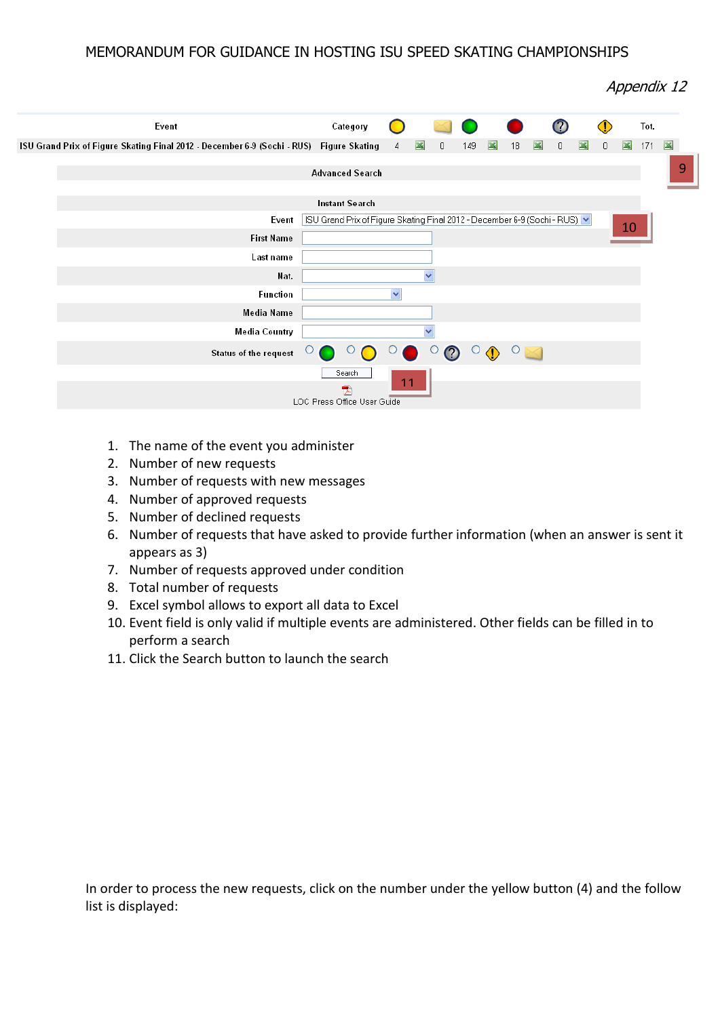Appendix 12



- 1. The name of the event you administer
- 2. Number of new requests
- 3. Number of requests with new messages
- 4. Number of approved requests
- 5. Number of declined requests
- 6. Number of requests that have asked to provide further information (when an answer is sent it appears as 3)
- 7. Number of requests approved under condition
- 8. Total number of requests
- 9. Excel symbol allows to export all data to Excel
- 10. Event field is only valid if multiple events are administered. Other fields can be filled in to perform a search
- 11. Click the Search button to launch the search

In order to process the new requests, click on the number under the yellow button (4) and the follow list is displayed: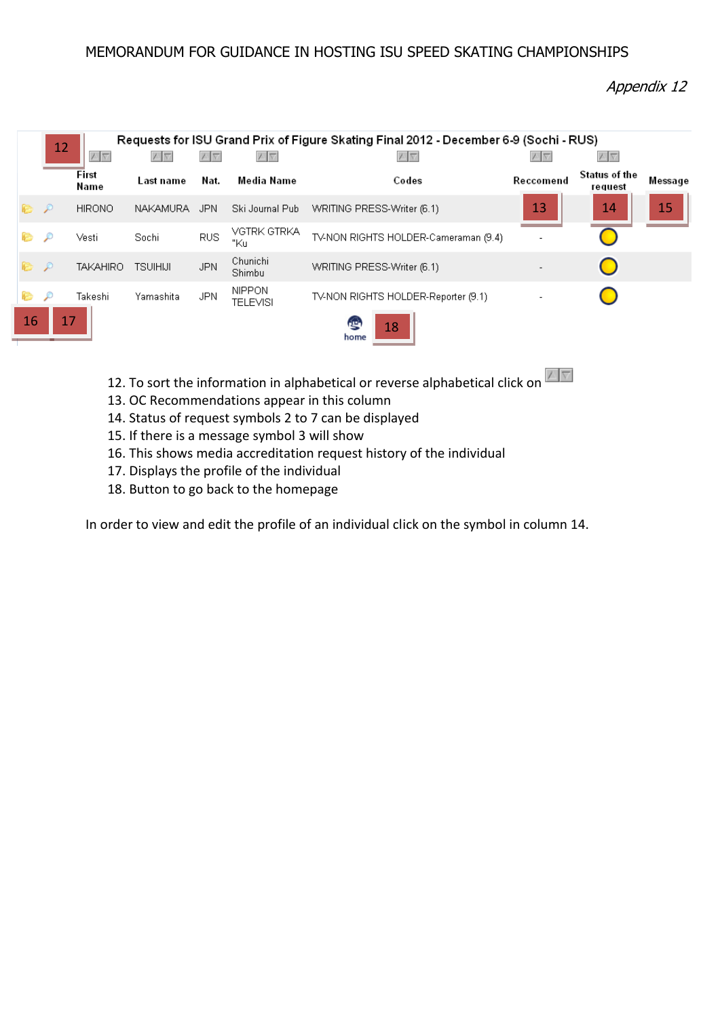Appendix 12

|                                      | 12            |                 |                 |            |                                  | Requests for ISU Grand Prix of Figure Skating Final 2012 - December 6-9 (Sochi - RUS) |            |                          |         |
|--------------------------------------|---------------|-----------------|-----------------|------------|----------------------------------|---------------------------------------------------------------------------------------|------------|--------------------------|---------|
|                                      |               | $\vee$ $\vee$   | ハト              | ハム         | V                                | $\sqrt{7}$                                                                            | $\sqrt{6}$ | $\sqrt{\nabla}$          |         |
|                                      |               | First<br>Name   | Last name       | Nat.       | Media Name                       | Codes                                                                                 | Reccomend  | Status of the<br>request | Message |
| P P                                  |               | <b>HIRONO</b>   | NAKAMURA        | JPN.       | Ski Journal Publ                 | WRITING PRESS-Writer (6.1)                                                            | 13         | 14                       | 15      |
| r.                                   | D             | Vesti           | Sochi           | <b>RUS</b> | VGTRK GTRKA<br>"Ku               | TV-NON RIGHTS HOLDER-Cameraman (9.4)                                                  |            |                          |         |
| r.                                   | $\mathcal{P}$ | <b>TAKAHIRO</b> | <b>TSUIHIJI</b> | JPN.       | Chunichi<br>Shimbu               | WRITING PRESS-Writer (6.1)                                                            |            |                          |         |
| r.                                   | £             | Takeshi         | Yamashita       | <b>JPN</b> | <b>NIPPON</b><br><b>TELEVISI</b> | TV-NON RIGHTS HOLDER-Reporter (9.1)                                                   |            |                          |         |
| 16<br>17<br><b>REG</b><br>18<br>home |               |                 |                 |            |                                  |                                                                                       |            |                          |         |

- 12. To sort the information in alphabetical or reverse alphabetical click on  $\blacksquare$
- 13. OC Recommendations appear in this column
- 14. Status of request symbols 2 to 7 can be displayed
- 15. If there is a message symbol 3 will show
- 16. This shows media accreditation request history of the individual
- 17. Displays the profile of the individual
- 18. Button to go back to the homepage

In order to view and edit the profile of an individual click on the symbol in column 14.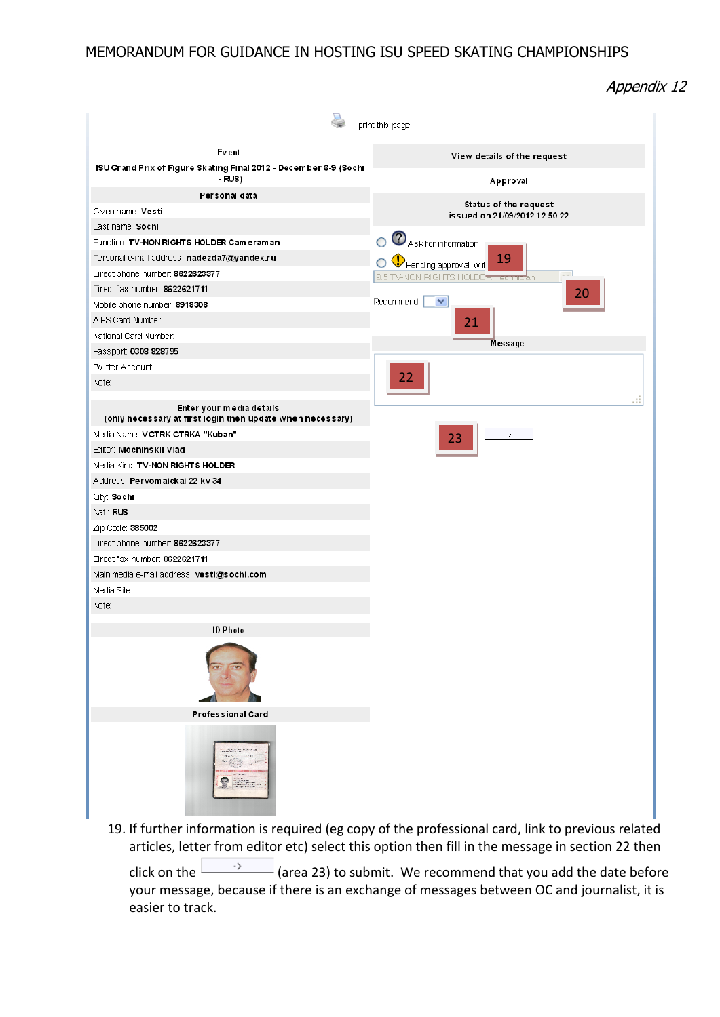Appendix 12

| print this page                                                                        |                                                                                       |  |  |  |  |  |
|----------------------------------------------------------------------------------------|---------------------------------------------------------------------------------------|--|--|--|--|--|
| Event                                                                                  |                                                                                       |  |  |  |  |  |
| ISU Grand Prix of Figure Skating Final 2012 - December 6-9 (Sochi                      | View details of the request                                                           |  |  |  |  |  |
| - RUS)                                                                                 | Approval                                                                              |  |  |  |  |  |
| Personal data                                                                          | Status of the request                                                                 |  |  |  |  |  |
| Given name: Vesti                                                                      | is sued on 21/09/2012 12.50.22                                                        |  |  |  |  |  |
| Last name: Sochi                                                                       |                                                                                       |  |  |  |  |  |
| Function: TV-NON RIGHTS HOLDER Cameraman                                               | <b>O</b> Ask for information                                                          |  |  |  |  |  |
| Personal e-mail address: nadezda7@yandex.ru                                            | 19<br>Pending approval with                                                           |  |  |  |  |  |
| Direct phone number: 8622623377                                                        | 9.5 TV-NON RIGHTS HOLDER Technician<br>20<br>Recommend: $\left  - \right  \vee$<br>21 |  |  |  |  |  |
| Direct fax number: 8622621711                                                          |                                                                                       |  |  |  |  |  |
| Mobile phone number: 8918308                                                           |                                                                                       |  |  |  |  |  |
| AIPS Card Number:                                                                      |                                                                                       |  |  |  |  |  |
| National Card Number:                                                                  |                                                                                       |  |  |  |  |  |
| Passport 0308 828795                                                                   | Message                                                                               |  |  |  |  |  |
| Twitter Account:                                                                       |                                                                                       |  |  |  |  |  |
| Note:                                                                                  | 22                                                                                    |  |  |  |  |  |
| Enter your media details<br>(only necessary at first login then update when necessary) |                                                                                       |  |  |  |  |  |
| Media Name: VGTRK GTRKA "Kuban"                                                        | $\cdot \rangle$<br>23                                                                 |  |  |  |  |  |
| Editor: Mochinskii Vlad                                                                |                                                                                       |  |  |  |  |  |
| Media Kind: TV-NON RIGHTS HOLDER                                                       |                                                                                       |  |  |  |  |  |
| Address: Pervomaickai 22 kv 34                                                         |                                                                                       |  |  |  |  |  |
| City: Sochi                                                                            |                                                                                       |  |  |  |  |  |
| Nat: RUS                                                                               |                                                                                       |  |  |  |  |  |
| Zip Code: 385002                                                                       |                                                                                       |  |  |  |  |  |
| Direct phone number: 8622623377                                                        |                                                                                       |  |  |  |  |  |
| Direct fax number: 8622621711                                                          |                                                                                       |  |  |  |  |  |
| Main media e-mail address: vesti@sochi.com                                             |                                                                                       |  |  |  |  |  |
| Media Site:                                                                            |                                                                                       |  |  |  |  |  |
| Note:                                                                                  |                                                                                       |  |  |  |  |  |
| <b>ID Photo</b>                                                                        |                                                                                       |  |  |  |  |  |
|                                                                                        |                                                                                       |  |  |  |  |  |
| Professional Card                                                                      |                                                                                       |  |  |  |  |  |
| $rac{1}{2}$                                                                            |                                                                                       |  |  |  |  |  |

19. If further information is required (eg copy of the professional card, link to previous related articles, letter from editor etc) select this option then fill in the message in section 22 then

click on the  $\frac{\rightarrow}{\rightarrow}$  (area 23) to submit. We recommend that you add the date before your message, because if there is an exchange of messages between OC and journalist, it is easier to track.